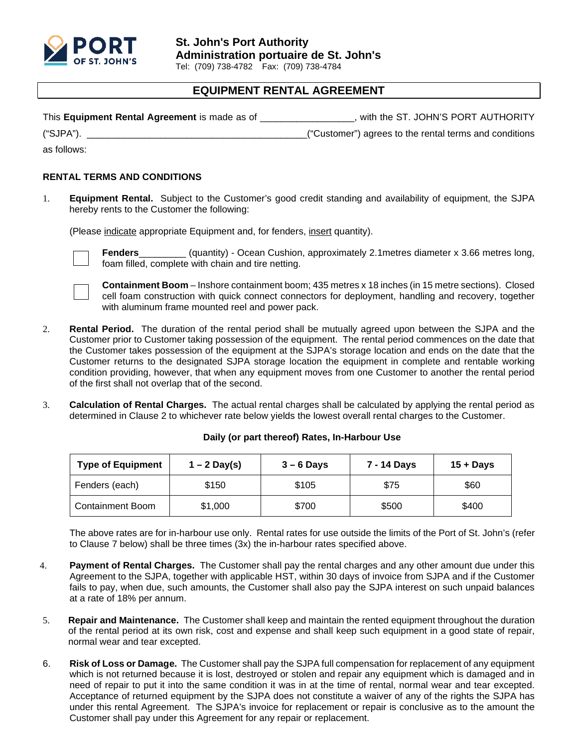

**St. John's Port Authority Administration portuaire de St. John's** Tel: (709) 738-4782 Fax: (709) 738-4784

## **EQUIPMENT RENTAL AGREEMENT**

| This Equipment Rental Agreement is made as of | with the ST. JOHN'S PORT AUTHORITY                     |
|-----------------------------------------------|--------------------------------------------------------|
| ("SJPA").                                     | ("Customer") agrees to the rental terms and conditions |

as follows:

## **RENTAL TERMS AND CONDITIONS**

1. **Equipment Rental.** Subject to the Customer's good credit standing and availability of equipment, the SJPA hereby rents to the Customer the following:

(Please indicate appropriate Equipment and, for fenders, insert quantity).



**Fenders**\_\_\_\_\_\_\_\_\_ (quantity) - Ocean Cushion, approximately 2.1metres diameter x 3.66 metres long, foam filled, complete with chain and tire netting.



**Containment Boom** – Inshore containment boom; 435 metres x 18 inches (in 15 metre sections). Closed cell foam construction with quick connect connectors for deployment, handling and recovery, together with aluminum frame mounted reel and power pack.

- 2. **Rental Period.** The duration of the rental period shall be mutually agreed upon between the SJPA and the Customer prior to Customer taking possession of the equipment. The rental period commences on the date that the Customer takes possession of the equipment at the SJPA's storage location and ends on the date that the Customer returns to the designated SJPA storage location the equipment in complete and rentable working condition providing, however, that when any equipment moves from one Customer to another the rental period of the first shall not overlap that of the second.
- 3. **Calculation of Rental Charges.** The actual rental charges shall be calculated by applying the rental period as determined in Clause 2 to whichever rate below yields the lowest overall rental charges to the Customer.

| <b>Type of Equipment</b> | $1 - 2$ Day(s) | $3 - 6$ Days | 7 - 14 Days | $15 +$ Days |
|--------------------------|----------------|--------------|-------------|-------------|
| Fenders (each)           | \$150          | \$105        | \$75        | \$60        |
| <b>Containment Boom</b>  | \$1,000        | \$700        | \$500       | \$400       |

## **Daily (or part thereof) Rates, In-Harbour Use**

The above rates are for in-harbour use only. Rental rates for use outside the limits of the Port of St. John's (refer to Clause 7 below) shall be three times (3x) the in-harbour rates specified above.

- 4. **Payment of Rental Charges.** The Customer shall pay the rental charges and any other amount due under this Agreement to the SJPA, together with applicable HST, within 30 days of invoice from SJPA and if the Customer fails to pay, when due, such amounts, the Customer shall also pay the SJPA interest on such unpaid balances at a rate of 18% per annum.
- 5. **Repair and Maintenance.** The Customer shall keep and maintain the rented equipment throughout the duration of the rental period at its own risk, cost and expense and shall keep such equipment in a good state of repair, normal wear and tear excepted.
- 6. **Risk of Loss or Damage.** The Customer shall pay the SJPA full compensation for replacement of any equipment which is not returned because it is lost, destroyed or stolen and repair any equipment which is damaged and in need of repair to put it into the same condition it was in at the time of rental, normal wear and tear excepted. Acceptance of returned equipment by the SJPA does not constitute a waiver of any of the rights the SJPA has under this rental Agreement. The SJPA's invoice for replacement or repair is conclusive as to the amount the Customer shall pay under this Agreement for any repair or replacement.